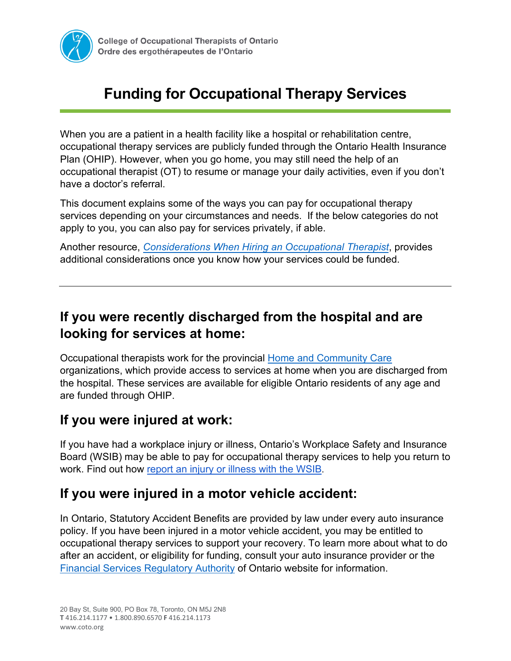

# **Funding for Occupational Therapy Services**

When you are a patient in a health facility like a hospital or rehabilitation centre, occupational therapy services are publicly funded through the Ontario Health Insurance Plan (OHIP). However, when you go home, you may still need the help of an occupational therapist (OT) to resume or manage your daily activities, even if you don't have a doctor's referral.

This document explains some of the ways you can pay for occupational therapy services depending on your circumstances and needs. If the below categories do not apply to you, you can also pay for services privately, if able.

Another resource, *[Considerations When Hiring an Occupational Therapist](https://www.coto.org/you-and-your-ot/how-to-find-an-ot/considerations-when-hiring-an-occupational-therapist)*, provides additional considerations once you know how your services could be funded.

### **If you were recently discharged from the hospital and are looking for services at home:**

Occupational therapists work for the provincial [Home and Community Care](https://www.ontario.ca/page/homecare-seniors) organizations, which provide access to services at home when you are discharged from the hospital. These services are available for eligible Ontario residents of any age and are funded through OHIP.

### **If you were injured at work:**

If you have had a workplace injury or illness, Ontario's Workplace Safety and Insurance Board (WSIB) may be able to pay for occupational therapy services to help you return to work. Find out how [report an injury or illness](https://www.wsib.ca/en/businesses/claims/report-injury-or-illness) with the WSIB.

### **If you were injured in a motor vehicle accident:**

In Ontario, Statutory Accident Benefits are provided by law under every auto insurance policy. If you have been injured in a motor vehicle accident, you may be entitled to occupational therapy services to support your recovery. To learn more about what to do after an accident, or eligibility for funding, consult your auto insurance provider or the [Financial Services Regulatory Authority](https://www.fsrao.ca/consumers/auto-insurance) of Ontario website for information.